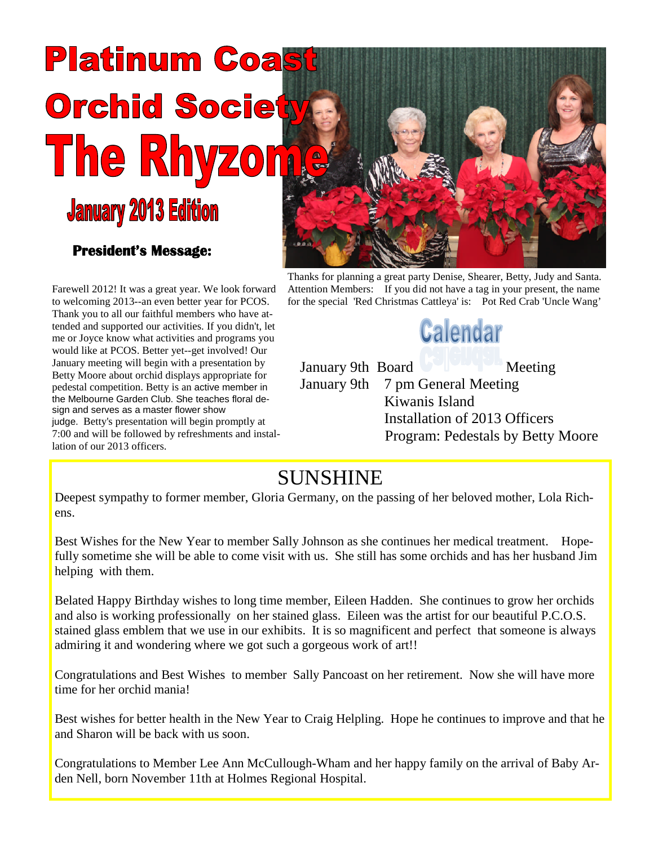# **Platinum Coa Orchid Society The Rhyz**  $\boxed{0}$ **January 2013 Edition**

### **President's Message:**

Farewell 2012! It was a great year. We look forward to welcoming 2013--an even better year for PCOS. Thank you to all our faithful members who have attended and supported our activities. If you didn't, let me or Joyce know what activities and programs you would like at PCOS. Better yet--get involved! Our January meeting will begin with a presentation by Betty Moore about orchid displays appropriate for pedestal competition. Betty is an active member in the Melbourne Garden Club. She teaches floral design and serves as a master flower show judge. Betty's presentation will begin promptly at 7:00 and will be followed by refreshments and installation of our 2013 officers.



Thanks for planning a great party Denise, Shearer, Betty, Judy and Santa. Attention Members: If you did not have a tag in your present, the name for the special 'Red Christmas Cattleya' is: Pot Red Crab 'Uncle Wang'



January 9th Board Meeting January 9th 7 pm General Meeting Kiwanis Island Installation of 2013 Officers Program: Pedestals by Betty Moore

## SUNSHINE

Deepest sympathy to former member, Gloria Germany, on the passing of her beloved mother, Lola Richens.

Best Wishes for the New Year to member Sally Johnson as she continues her medical treatment. Hopefully sometime she will be able to come visit with us. She still has some orchids and has her husband Jim helping with them.

Belated Happy Birthday wishes to long time member, Eileen Hadden. She continues to grow her orchids and also is working professionally on her stained glass. Eileen was the artist for our beautiful P.C.O.S. stained glass emblem that we use in our exhibits. It is so magnificent and perfect that someone is always admiring it and wondering where we got such a gorgeous work of art!!

Congratulations and Best Wishes to member Sally Pancoast on her retirement. Now she will have more time for her orchid mania!

Best wishes for better health in the New Year to Craig Helpling. Hope he continues to improve and that he and Sharon will be back with us soon.

Congratulations to Member Lee Ann McCullough-Wham and her happy family on the arrival of Baby Arden Nell, born November 11th at Holmes Regional Hospital.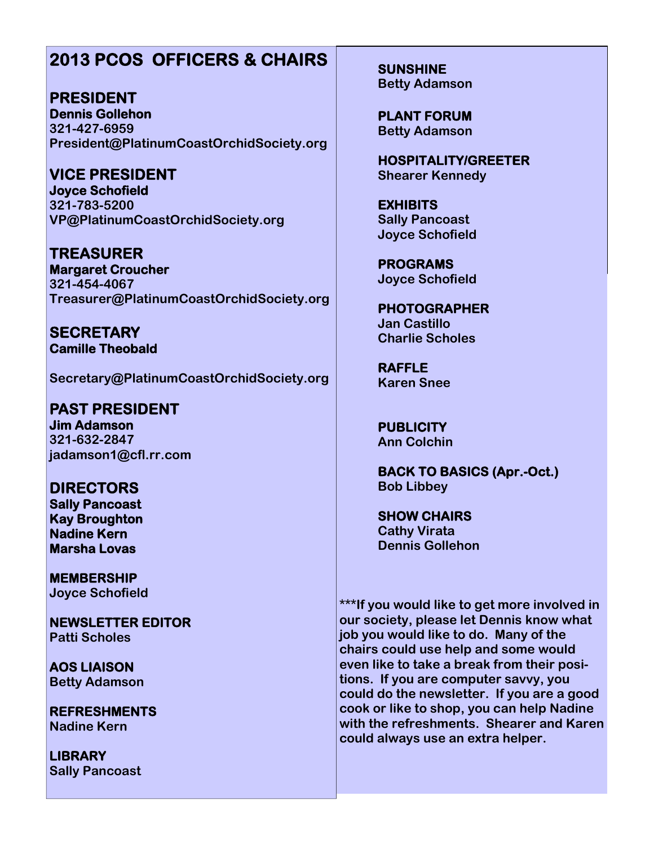### **2013 PCOS OFFICERS & CHAIRS**

**PRESIDENT Dennis Gollehon 321-427-6959 President@PlatinumCoastOrchidSociety.org**

**VICE PRESIDENT Joyce Schofield 321-783-5200 VP@PlatinumCoastOrchidSociety.org**

**TREASURER Margaret Croucher 321-454-4067 Treasurer@PlatinumCoastOrchidSociety.org**

**SECRETARY Camille Theobald**

**Secretary@PlatinumCoastOrchidSociety.org**

**PAST PRESIDENT Jim Adamson 321-632-2847 jadamson1@cfl.rr.com**

**DIRECTORS Sally Pancoast Kay Broughton Nadine Kern Marsha Lovas**

**MEMBERSHIP Joyce Schofield**

**NEWSLETTER EDITOR Patti Scholes**

**AOS LIAISON Betty Adamson**

**REFRESHMENTS Nadine Kern**

**LIBRARY Sally Pancoast** **SUNSHINE Betty Adamson**

**PLANT FORUM Betty Adamson**

**HOSPITALITY/GREETER Shearer Kennedy**

**EXHIBITS Sally Pancoast Joyce Schofield**

**PROGRAMS Joyce Schofield**

**PHOTOGRAPHER Jan Castillo Charlie Scholes**

**RAFFLE Karen Snee**

**PUBLICITY Ann Colchin**

**BACK TO BASICS (Apr.-Oct.) Bob Libbey**

**SHOW CHAIRS Cathy Virata Dennis Gollehon**

**\*\*\*If you would like to get more involved in our society, please let Dennis know what job you would like to do. Many of the chairs could use help and some would even like to take a break from their positions. If you are computer savvy, you could do the newsletter. If you are a good cook or like to shop, you can help Nadine with the refreshments. Shearer and Karen could always use an extra helper.**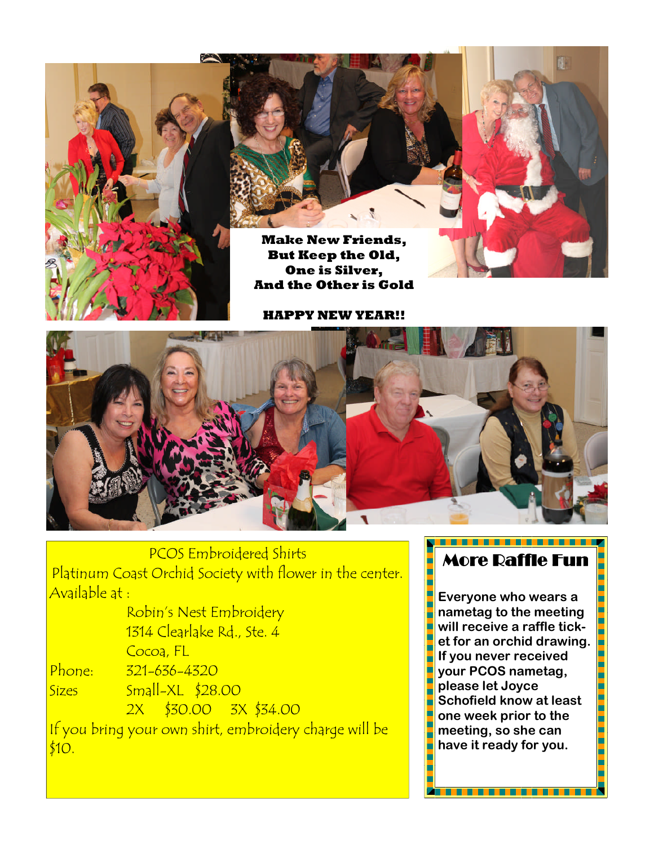

**Make New Friends, But Keep the Old, One is Silver, And the Other is Gold**

**HAPPY NEW YEAR!!**



PCOS Embroidered Shirts Platinum Coast Orchid Society with flower in the center. Available at :

Robin's Nest Embroidery 1314 Clearlake Rd., Ste. 4 Cocoa, FL Phone: 321-636-4320 Sizes Small-XL \$28.00 2X \$30.00 3X \$34.00 If you bring your own shirt, embroidery charge will be \$10.

### More Raffle Fun

**Everyone who wears a nametag to the meeting will receive a raffle ticket for an orchid drawing. If you never received your PCOS nametag, please let Joyce Schofield know at least one week prior to the meeting, so she can have it ready for you.**